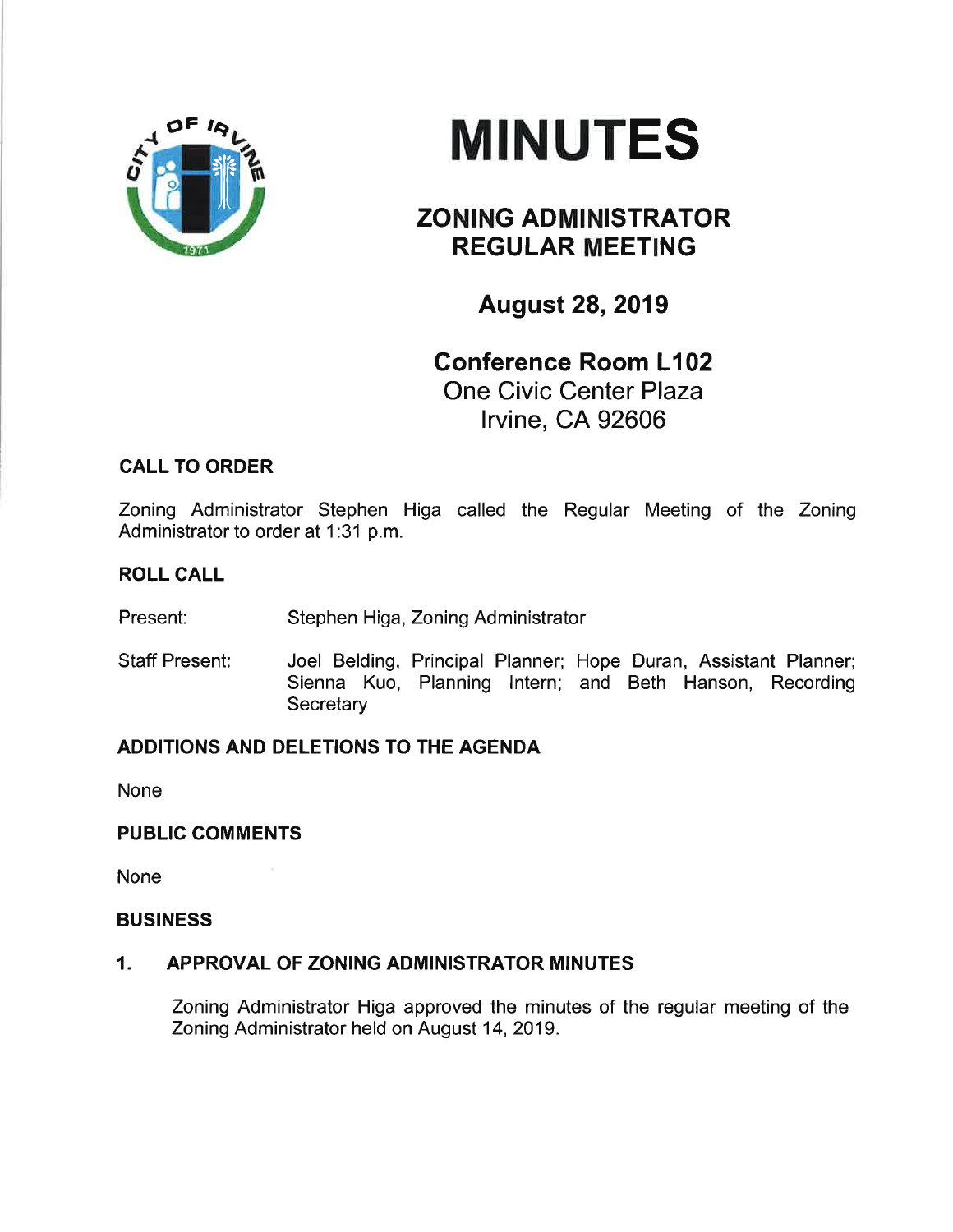

# **MINUTES**

# ZONING ADMINISTRATOR REGULAR MEETING

August 28,2019

## Conference Room L102 One Civic Center Plaza lrvine, CA 92606

## CALL TO ORDER

Zoning Administrator Stephen Higa called the Regular Meeting of the Zoning Administrator to order at 1:31 p.m.

#### ROLL CALL

Present: Stephen Higa, Zoning Administrator

Staff Present: Joel Belding, Principal Planner; Hope Duran, Assistant Planner; Sienna Kuo, Planning lntern; and Beth Hanson, Recording **Secretary** 

## ADDITIONS AND DELETIONS TO THE AGENDA

None

#### PUBLIC COMMENTS

None

#### BUSINESS

#### 1. APPROVAL OF ZONING ADMINISTRATOR MINUTES

Zoning Administrator Higa approved the minutes of the regular meeting of the Zoning Administrator held on August 14,2019.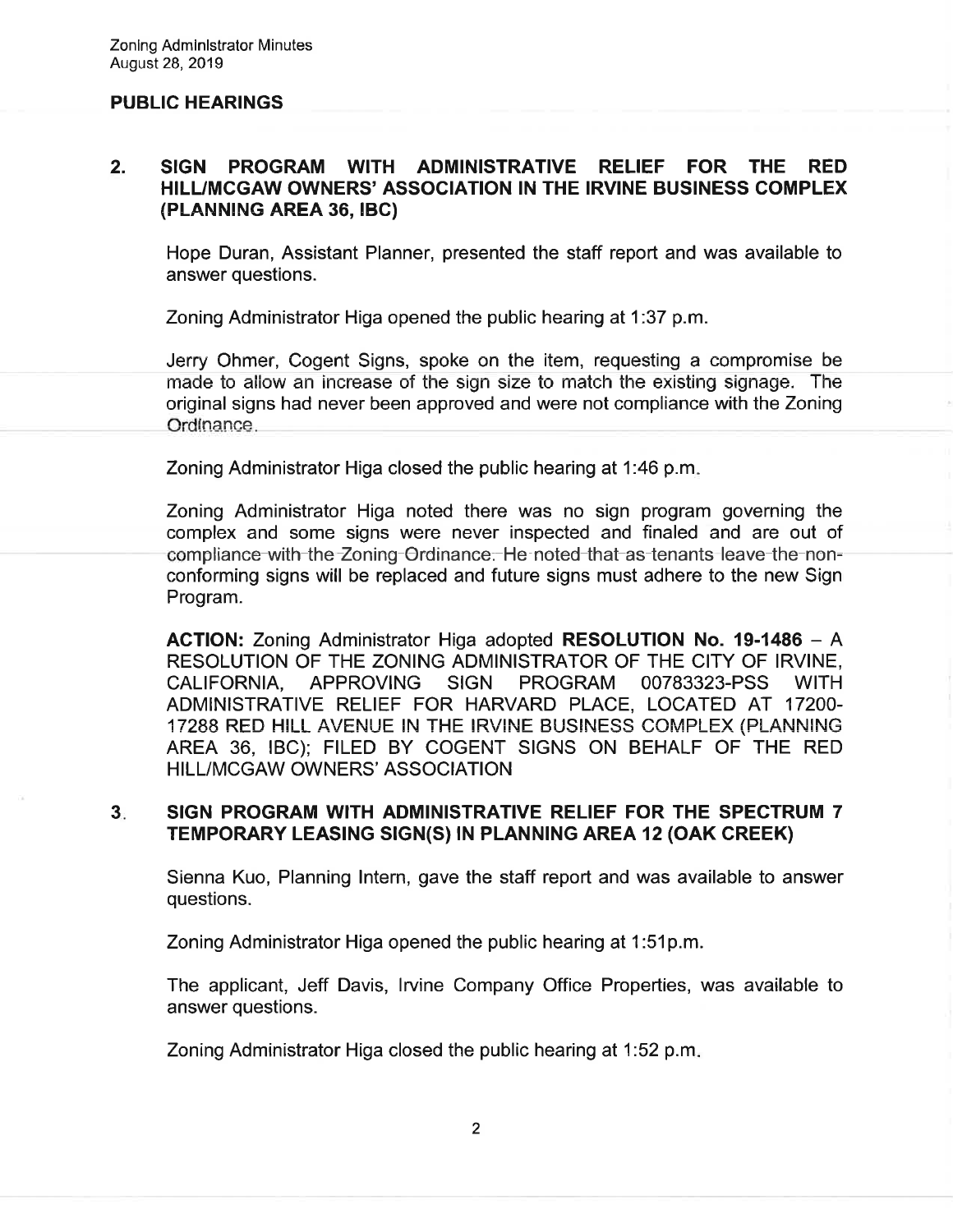#### PUBLIC HEARINGS

#### 2. SIGN PROGRAM WITH ADMINISTRATIVE RELIEF FOR THE RED HILUMCGAW OWNERS' ASSOCIATION IN THE IRVINE BUSINESS COMPLEX (PLANNING AREA 36, IBC)

Hope Duran, Assistant Planner, presented the staff report and was available to answer questions.

Zoning Administrator Higa opened the public hearing at 1:37 p.m.

Jerry Ohmer, Cogent Signs, spoke on the item, requesting a compromise be made to allow an increase of the sign size to match the existing signage. The original signs had never been approved and were not compliance with the Zoning Ordinance.

Zoning Administrator Higa closed the public hearing at 1:46 p.m

Zoning Administrator Higa noted there was no sign program governing the complex and some signs were never inspected and finaled and are out of compliance with the Zoning Ordinance. He noted that as tenants leave the nonconforming signs will be replaced and future signs must adhere to the new Sign Program.

ACTION: Zoning Administrator Higa adopted RESOLUTION No. 19-1486 - <sup>A</sup> RESOLUTION OF THE ZONING ADMINISTRATOR OF THE CITY OF IRVINE, CALIFORNIA, APPROVING SIGN PROGRAM OO783323.PSS WITH ADMINISTRATIVE RELIEF FOR HARVARD PLACE, LOCATED AT 17200- 17288 RED HILL AVENUE IN THE IRVINE BUSINESS COMPLEX (PLANNING AREA 36, IBC); FILED BY COGENT SIGNS ON BEHALF OF THE RED HILL/MCGAW OWNERS' ASSOCIATION

#### $3<sub>i</sub>$ SIGN PROGRAM WITH ADMINISTRATIVE RELIEF FOR THE SPECTRUM 7 TEMPORARY LEASING SIGN(S) IN PLANNING AREA 12 (OAK CREEK)

Sienna Kuo, Planning Intern, gave the staff report and was available to answer questions.

Zoning Administrator Higa opened the public hearing at 1:51p.m.

The applicant, Jeff Davis, lrvine Company Office Properties, was available to answer questions.

Zoning Administrator Higa closed the public hearing at 1:52 p.m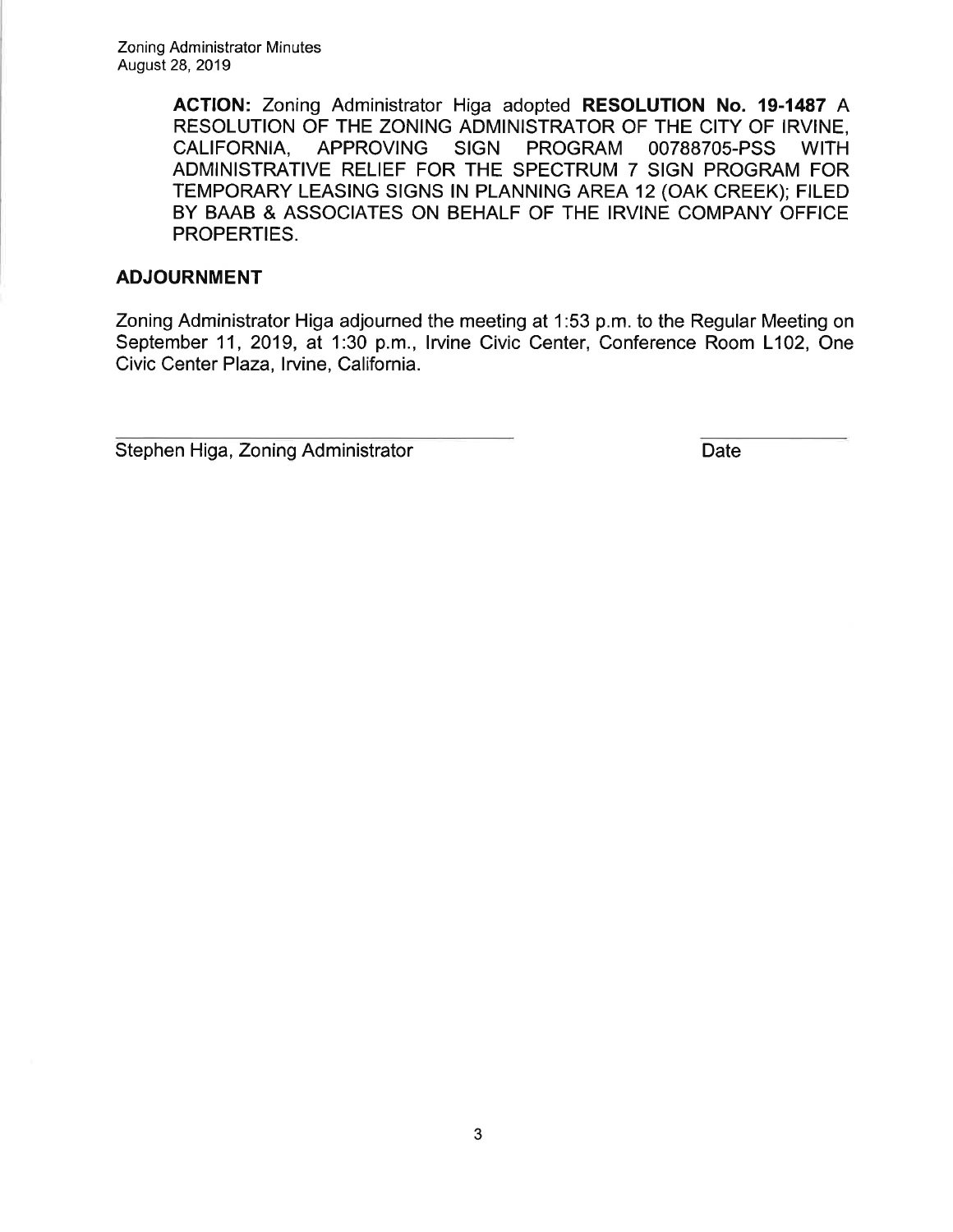ACTION: Zoning Administrator Higa adopted RESOLUTION No. 19-1487 A RESOLUTION OF THE ZONING ADMINISTRATOR OF THE CITY OF IRVINE,<br>CALIFORNIA. APPROVING SIGN PROGRAM 00788705-PSS WITH PROGRAM 00788705-PSS WITH ADMINISTRATIVE RELIEF FOR THE SPECTRUM 7 SIGN PROGRAM FOR TEMPORARY LEASING SIGNS lN PLANNING AREA 12 (OAK CREEK); FILED BY BAAB & ASSOCIATES ON BEHALF OF THE IRVINE COMPANY OFFICE PROPERTIES.

#### ADJOURNMENT

Zoning Administrator Higa adjourned the meeting at 1:53 p.m. to the Regular Meeting on September 11, 2019, at 1:30 p.m., Irvine Civic Center, Conference Room L102, One Civic Center Plaza, lrvine, California.

**Stephen Higa, Zoning Administrator Contract Contract Contract Contract Contract Contract Contract Contract Contract Contract Contract Contract Contract Contract Contract Contract Contract Contract Contract Contract Contra**